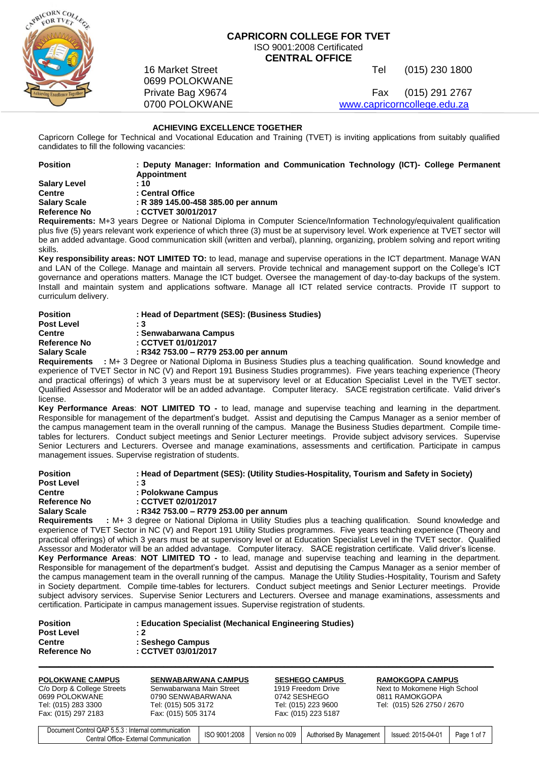

# **CAPRICORN COLLEGE FOR TVET** ISO 9001:2008 Certificated **CENTRAL OFFICE**

16 Market Street **Tel (015)** 230 1800

Private Bag X9674 Fax (015) 291 2767 0700 POLOKWANE [www.capricorncollege.edu.za](http://www.capricorncollege.edu.za/)

# **ACHIEVING EXCELLENCE TOGETHER**

0699 POLOKWANE

Capricorn College for Technical and Vocational Education and Training (TVET) is inviting applications from suitably qualified candidates to fill the following vacancies:

| <b>Position</b>     | : Deputy Manager: Information and Communication Technology (ICT)- College Permanent                                    |
|---------------------|------------------------------------------------------------------------------------------------------------------------|
|                     | Appointment                                                                                                            |
| <b>Salary Level</b> | :10                                                                                                                    |
| <b>Centre</b>       | : Central Office                                                                                                       |
| <b>Salary Scale</b> | : R 389 145.00-458 385.00 per annum                                                                                    |
| <b>Reference No</b> | : CCTVET 30/01/2017                                                                                                    |
|                     | Requirements: M+3 years Degree or National Diploma in Computer Science/Information Technology/equivalent qualification |
|                     |                                                                                                                        |

plus five (5) years relevant work experience of which three (3) must be at supervisory level. Work experience at TVET sector will be an added advantage. Good communication skill (written and verbal), planning, organizing, problem solving and report writing skills.

**Key responsibility areas: NOT LIMITED TO:** to lead, manage and supervise operations in the ICT department. Manage WAN and LAN of the College. Manage and maintain all servers. Provide technical and management support on the College's ICT governance and operations matters. Manage the ICT budget. Oversee the management of day-to-day backups of the system. Install and maintain system and applications software. Manage all ICT related service contracts. Provide IT support to curriculum delivery.

| Position     | : Head of Department (SES): (Business Studies)             |
|--------------|------------------------------------------------------------|
| Post Level   | : 3                                                        |
| Centre       | : Senwabarwana Campus                                      |
| Reference No | : CCTVET 01/01/2017                                        |
| Salary Scale | : R342 753.00 - R779 253.00 per annum                      |
| Reauirements | : M+ 3 Degree or National Diploma in Business Studies plus |

plus a teaching qualification. Sound knowledge and experience of TVET Sector in NC (V) and Report 191 Business Studies programmes). Five years teaching experience (Theory and practical offerings) of which 3 years must be at supervisory level or at Education Specialist Level in the TVET sector. Qualified Assessor and Moderator will be an added advantage. Computer literacy. SACE registration certificate. Valid driver's license.

**Key Performance Areas**: **NOT LIMITED TO -** to lead, manage and supervise teaching and learning in the department. Responsible for management of the department's budget. Assist and deputising the Campus Manager as a senior member of the campus management team in the overall running of the campus. Manage the Business Studies department. Compile timetables for lecturers. Conduct subject meetings and Senior Lecturer meetings. Provide subject advisory services. Supervise Senior Lecturers and Lecturers. Oversee and manage examinations, assessments and certification. Participate in campus management issues. Supervise registration of students.

| <b>Position</b>     | : Head of Department (SES): (Utility Studies-Hospitality, Tourism and Safety in Society)                |  |
|---------------------|---------------------------------------------------------------------------------------------------------|--|
| <b>Post Level</b>   | : 3                                                                                                     |  |
| <b>Centre</b>       | : Polokwane Campus                                                                                      |  |
| Reference No        | : CCTVET 02/01/2017                                                                                     |  |
| <b>Salary Scale</b> | : R342 753.00 - R779 253.00 per annum                                                                   |  |
| <b>Requirements</b> | : M+ 3 degree or National Diploma in Utility Studies plus a teaching qualification. Sound knowledge and |  |

experience of TVET Sector in NC (V) and Report 191 Utility Studies programmes. Five years teaching experience (Theory and practical offerings) of which 3 years must be at supervisory level or at Education Specialist Level in the TVET sector. Qualified Assessor and Moderator will be an added advantage. Computer literacy. SACE registration certificate. Valid driver's license. **Key Performance Areas**: **NOT LIMITED TO -** to lead, manage and supervise teaching and learning in the department. Responsible for management of the department's budget. Assist and deputising the Campus Manager as a senior member of the campus management team in the overall running of the campus. Manage the Utility Studies-Hospitality, Tourism and Safety in Society department. Compile time-tables for lecturers. Conduct subject meetings and Senior Lecturer meetings. Provide subject advisory services. Supervise Senior Lecturers and Lecturers. Oversee and manage examinations, assessments and certification. Participate in campus management issues. Supervise registration of students.

| <b>Position</b>     | : Education Specialist (Mechanical Engineering Studies) |
|---------------------|---------------------------------------------------------|
| <b>Post Level</b>   | : 2                                                     |
| <b>Centre</b>       | : Seshego Campus                                        |
| <b>Reference No</b> | : CCTVET 03/01/2017                                     |
|                     |                                                         |

| <b>POLOKWANE CAMPUS</b><br>C/o Dorp & College Streets<br>0699 POLOKWANE<br>Tel: (015) 283 3300<br>Fax: (015) 297 2183 | <b>SENWABARWANA CAMPUS</b><br>Senwabarwana Main Street<br>0790 SENWABARWANA<br>Tel: (015) 505 3172<br>Fax: (015) 505 3174 | <b>SESHEGO CAMPUS</b><br>1919 Freedom Drive<br>0742 SESHEGO<br>Tel: (015) 223 9600<br>Fax: (015) 223 5187 | <b>RAMOKGOPA CAMPUS</b><br>Next to Mokomene High School<br>0811 RAMOKGOPA<br>Tel: (015) 526 2750 / 2670    |
|-----------------------------------------------------------------------------------------------------------------------|---------------------------------------------------------------------------------------------------------------------------|-----------------------------------------------------------------------------------------------------------|------------------------------------------------------------------------------------------------------------|
|                                                                                                                       |                                                                                                                           |                                                                                                           |                                                                                                            |
| Document Control QAP 5.5.3 : Internal communication                                                                   | 0.0000000000                                                                                                              | $\sim$ $\sim$<br>$\sim$                                                                                   | $\begin{array}{c} \n\bullet \bullet \bullet \bullet \bullet \bullet \bullet \bullet \end{array}$<br>$\sim$ |

Rition CAF 3.3.3 Internal Communication | ISO 9001:2008 | Version no 009 | Authorised By Management | Issued: 2015-04-01 | Page 1 of 7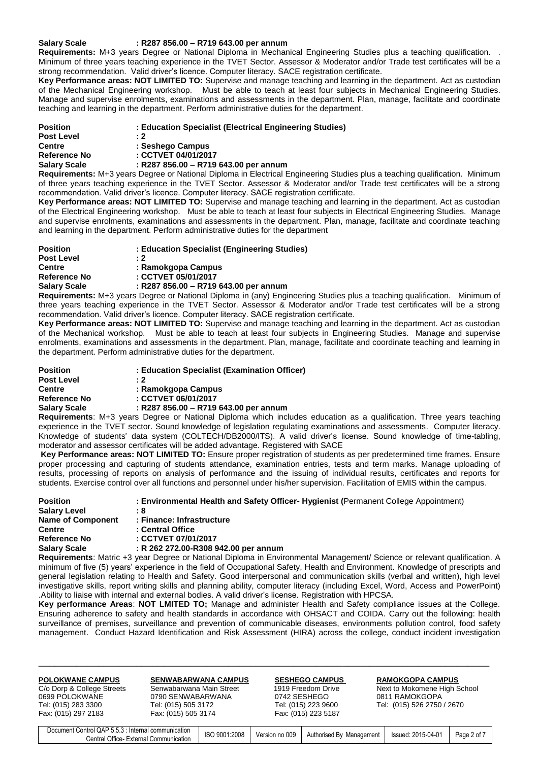## **Salary Scale : R287 856.00 – R719 643.00 per annum**

**Requirements:** M+3 years Degree or National Diploma in Mechanical Engineering Studies plus a teaching qualification. . Minimum of three years teaching experience in the TVET Sector. Assessor & Moderator and/or Trade test certificates will be a strong recommendation. Valid driver's licence. Computer literacy. SACE registration certificate.

**Key Performance areas: NOT LIMITED TO:** Supervise and manage teaching and learning in the department. Act as custodian of the Mechanical Engineering workshop. Must be able to teach at least four subjects in Mechanical Engineering Studies. Manage and supervise enrolments, examinations and assessments in the department. Plan, manage, facilitate and coordinate teaching and learning in the department. Perform administrative duties for the department.

| <b>Position</b>     | : Education Specialist (Electrical Engineering Studies) |  |  |
|---------------------|---------------------------------------------------------|--|--|
| <b>Post Level</b>   | : 2                                                     |  |  |
| <b>Centre</b>       | : Seshego Campus                                        |  |  |
| Reference No        | : CCTVET 04/01/2017                                     |  |  |
| <b>Salary Scale</b> | : R287 856.00 - R719 643.00 per annum                   |  |  |
|                     |                                                         |  |  |

**Requirements:** M+3 years Degree or National Diploma in Electrical Engineering Studies plus a teaching qualification. Minimum of three years teaching experience in the TVET Sector. Assessor & Moderator and/or Trade test certificates will be a strong recommendation. Valid driver's licence. Computer literacy. SACE registration certificate.

**Key Performance areas: NOT LIMITED TO:** Supervise and manage teaching and learning in the department. Act as custodian of the Electrical Engineering workshop. Must be able to teach at least four subjects in Electrical Engineering Studies. Manage and supervise enrolments, examinations and assessments in the department. Plan, manage, facilitate and coordinate teaching and learning in the department. Perform administrative duties for the department

| <b>Position</b>     | : Education Specialist (Engineering Studies) |
|---------------------|----------------------------------------------|
| <b>Post Level</b>   | : 2                                          |
| <b>Centre</b>       | : Ramokgopa Campus                           |
| <b>Reference No</b> | : CCTVET 05/01/2017                          |
| <b>Salary Scale</b> | : R287 856.00 - R719 643.00 per annum        |
|                     | .                                            |

**Requirements:** M+3 years Degree or National Diploma in (any) Engineering Studies plus a teaching qualification. Minimum of three years teaching experience in the TVET Sector. Assessor & Moderator and/or Trade test certificates will be a strong recommendation. Valid driver's licence. Computer literacy. SACE registration certificate.

**Key Performance areas: NOT LIMITED TO:** Supervise and manage teaching and learning in the department. Act as custodian of the Mechanical workshop. Must be able to teach at least four subjects in Engineering Studies. Manage and supervise enrolments, examinations and assessments in the department. Plan, manage, facilitate and coordinate teaching and learning in the department. Perform administrative duties for the department.

| <b>Position</b>     | : Education Specialist (Examination Officer) |
|---------------------|----------------------------------------------|
| <b>Post Level</b>   | $\cdot$ 2                                    |
| <b>Centre</b>       | : Ramokgopa Campus                           |
| Reference No        | : CCTVET 06/01/2017                          |
| <b>Salary Scale</b> | : R287 856.00 - R719 643.00 per annum        |

**Requirements**: M+3 years Degree or National Diploma which includes education as a qualification. Three years teaching experience in the TVET sector. Sound knowledge of legislation regulating examinations and assessments. Computer literacy. Knowledge of students' data system (COLTECH/DB2000/ITS). A valid driver's license. Sound knowledge of time-tabling, moderator and assessor certificates will be added advantage. Registered with SACE

**Key Performance areas: NOT LIMITED TO:** Ensure proper registration of students as per predetermined time frames. Ensure proper processing and capturing of students attendance, examination entries, tests and term marks. Manage uploading of results, processing of reports on analysis of performance and the issuing of individual results, certificates and reports for students. Exercise control over all functions and personnel under his/her supervision. Facilitation of EMIS within the campus.

| <b>Position</b>          | : Environmental Health and Safety Officer- Hygienist (Permanent College Appointment)                                     |
|--------------------------|--------------------------------------------------------------------------------------------------------------------------|
| <b>Salary Level</b>      | : 8                                                                                                                      |
| <b>Name of Component</b> | : Finance: Infrastructure                                                                                                |
| <b>Centre</b>            | : Central Office                                                                                                         |
| Reference No             | : CCTVET 07/01/2017                                                                                                      |
| <b>Salary Scale</b>      | : R 262 272.00-R308 942.00 per annum                                                                                     |
|                          | <b>Requirements:</b> Matric +3 year Degree or National Diploma in Environmental Management/Science or relevant qualifica |

**Requirements**: Matric +3 year Degree or National Diploma in Environmental Management/ Science or relevant qualification. A minimum of five (5) years' experience in the field of Occupational Safety, Health and Environment. Knowledge of prescripts and general legislation relating to Health and Safety. Good interpersonal and communication skills (verbal and written), high level investigative skills, report writing skills and planning ability, computer literacy (including Excel, Word, Access and PowerPoint) .Ability to liaise with internal and external bodies. A valid driver's license. Registration with HPCSA.

**Key performance Areas**: **NOT LMITED TO;** Manage and administer Health and Safety compliance issues at the College. Ensuring adherence to safety and health standards in accordance with OHSACT and COIDA. Carry out the following: health surveillance of premises, surveillance and prevention of communicable diseases, environments pollution control, food safety management. Conduct Hazard Identification and Risk Assessment (HIRA) across the college, conduct incident investigation

| <b>POLOKWANE CAMPUS</b><br>C/o Dorp & College Streets<br>0699 POLOKWANE<br>Tel: (015) 283 3300<br>Fax: (015) 297 2183 | <b>SENWABARWANA CAMPUS</b><br>Senwabarwana Main Street<br>0790 SENWABARWANA<br>Tel: (015) 505 3172<br>Fax: (015) 505 3174 |               |                | <b>SESHEGO CAMPUS</b><br>1919 Freedom Drive<br>0742 SESHEGO<br>Tel: (015) 223 9600<br>Fax: (015) 223 5187 | <b>RAMOKGOPA CAMPUS</b><br>Next to Mokomene High School<br>0811 RAMOKGOPA<br>Tel: (015) 526 2750 / 2670 |             |
|-----------------------------------------------------------------------------------------------------------------------|---------------------------------------------------------------------------------------------------------------------------|---------------|----------------|-----------------------------------------------------------------------------------------------------------|---------------------------------------------------------------------------------------------------------|-------------|
| Document Control QAP 5.5.3 : Internal communication                                                                   | Central Office- External Communication                                                                                    | ISO 9001:2008 | Version no 009 | Authorised By Management                                                                                  | Issued: 2015-04-01                                                                                      | Page 2 of 7 |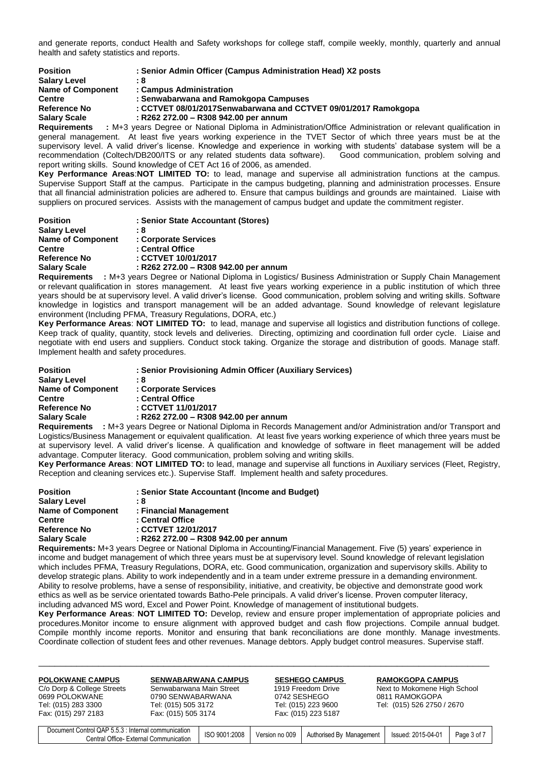and generate reports, conduct Health and Safety workshops for college staff, compile weekly, monthly, quarterly and annual health and safety statistics and reports.

| <b>Position</b>          | : Senior Admin Officer (Campus Administration Head) X2 posts                                   |
|--------------------------|------------------------------------------------------------------------------------------------|
| <b>Salary Level</b>      | : 8                                                                                            |
| <b>Name of Component</b> | : Campus Administration                                                                        |
| <b>Centre</b>            | : Senwabarwana and Ramokgopa Campuses                                                          |
| Reference No             | : CCTVET 08/01/2017Senwabarwana and CCTVET 09/01/2017 Ramokgopa                                |
| <b>Salary Scale</b>      | : R262 272.00 - R308 942.00 per annum                                                          |
| <b>Poquiromonte</b>      | $\cdot$ M+3 years Degree or National Diploma in Administration/Office Administration or relev- |

**Requirements :** M+3 years Degree or National Diploma in Administration/Office Administration or relevant qualification in general management. At least five years working experience in the TVET Sector of which three years must be at the supervisory level. A valid driver's license. Knowledge and experience in working with students' database system will be a<br>recommendation (Coltech/DB200/ITS or any related students data software). Good communication, proble recommendation (Coltech/DB200/ITS or any related students data software). report writing skills. Sound knowledge of CET Act 16 of 2006, as amended.

**Key Performance Areas**:**NOT LIMITED TO:** to lead, manage and supervise all administration functions at the campus. Supervise Support Staff at the campus. Participate in the campus budgeting, planning and administration processes. Ensure that all financial administration policies are adhered to. Ensure that campus buildings and grounds are maintained. Liaise with suppliers on procured services. Assists with the management of campus budget and update the commitment register.

| <b>Position</b>          | : Senior State Accountant (Stores)    |
|--------------------------|---------------------------------------|
| <b>Salary Level</b>      | : 8                                   |
| <b>Name of Component</b> | : Corporate Services                  |
| <b>Centre</b>            | : Central Office                      |
| Reference No             | : CCTVET 10/01/2017                   |
| <b>Salary Scale</b>      | : R262 272.00 - R308 942.00 per annum |
|                          | .                                     |

**Requirements :** M+3 years Degree or National Diploma in Logistics/ Business Administration or Supply Chain Management or relevant qualification in stores management. At least five years working experience in a public institution of which three years should be at supervisory level. A valid driver's license. Good communication, problem solving and writing skills. Software knowledge in logistics and transport management will be an added advantage. Sound knowledge of relevant legislature environment (Including PFMA, Treasury Regulations, DORA, etc.)

**Key Performance Areas**: **NOT LIMITED TO:** to lead, manage and supervise all logistics and distribution functions of college. Keep track of quality, quantity, stock levels and deliveries. Directing, optimizing and coordination full order cycle. Liaise and negotiate with end users and suppliers. Conduct stock taking. Organize the storage and distribution of goods. Manage staff. Implement health and safety procedures.

| <b>Position</b>          | : Senior Provisioning Admin Officer (Auxiliary Services)         |
|--------------------------|------------------------------------------------------------------|
| <b>Salary Level</b>      | : 8                                                              |
| <b>Name of Component</b> | : Corporate Services                                             |
| <b>Centre</b>            | : Central Office                                                 |
| <b>Reference No</b>      | : CCTVET 11/01/2017                                              |
| <b>Salary Scale</b>      | : R262 272.00 - R308 942.00 per annum                            |
| <b>Demolusion and a</b>  | . M.O. usara Desusa su National Diploma in Desaude Management an |

**Requirements :** M+3 years Degree or National Diploma in Records Management and/or Administration and/or Transport and Logistics/Business Management or equivalent qualification. At least five years working experience of which three years must be at supervisory level. A valid driver's license. A qualification and knowledge of software in fleet management will be added advantage. Computer literacy. Good communication, problem solving and writing skills.

**Key Performance Areas**: **NOT LIMITED TO:** to lead, manage and supervise all functions in Auxiliary services (Fleet, Registry, Reception and cleaning services etc.). Supervise Staff. Implement health and safety procedures.

| <b>Position</b>          | : Senior State Accountant (Income and Budget) |
|--------------------------|-----------------------------------------------|
| <b>Salary Level</b>      | :8                                            |
| <b>Name of Component</b> | : Financial Management                        |
| <b>Centre</b>            | : Central Office                              |
| <b>Reference No</b>      | : CCTVET 12/01/2017                           |
| <b>Salary Scale</b>      | : R262 272.00 - R308 942.00 per annum         |
|                          |                                               |

**Requirements:** M+3 years Degree or National Diploma in Accounting/Financial Management. Five (5) years' experience in income and budget management of which three years must be at supervisory level. Sound knowledge of relevant legislation which includes PFMA, Treasury Regulations, DORA, etc. Good communication, organization and supervisory skills. Ability to develop strategic plans. Ability to work independently and in a team under extreme pressure in a demanding environment. Ability to resolve problems, have a sense of responsibility, initiative, and creativity, be objective and demonstrate good work ethics as well as be service orientated towards Batho-Pele principals. A valid driver's license. Proven computer literacy, including advanced MS word, Excel and Power Point. Knowledge of management of institutional budgets.

**Key Performance Areas**: **NOT LIMITED TO:** Develop, review and ensure proper implementation of appropriate policies and procedures.Monitor income to ensure alignment with approved budget and cash flow projections. Compile annual budget. Compile monthly income reports. Monitor and ensuring that bank reconciliations are done monthly. Manage investments. Coordinate collection of student fees and other revenues. Manage debtors. Apply budget control measures. Supervise staff.

| <b>POLOKWANE CAMPUS</b><br>C/o Dorp & College Streets<br>0699 POLOKWANE<br>Tel: (015) 283 3300<br>Fax: (015) 297 2183 | <b>SENWABARWANA CAMPUS</b><br>Senwabarwana Main Street<br>0790 SENWABARWANA<br>Tel: (015) 505 3172<br>Fax: (015) 505 3174 |               | 0742 SESHEGO   | <b>SESHEGO CAMPUS</b><br>1919 Freedom Drive<br>Tel: (015) 223 9600<br>Fax: (015) 223 5187 | <b>RAMOKGOPA CAMPUS</b><br>Next to Mokomene High School<br>0811 RAMOKGOPA<br>Tel: (015) 526 2750 / 2670 |             |
|-----------------------------------------------------------------------------------------------------------------------|---------------------------------------------------------------------------------------------------------------------------|---------------|----------------|-------------------------------------------------------------------------------------------|---------------------------------------------------------------------------------------------------------|-------------|
| Document Control QAP 5.5.3 : Internal communication                                                                   | Central Office- External Communication                                                                                    | ISO 9001:2008 | Version no 009 | Authorised By Management                                                                  | Issued: 2015-04-01                                                                                      | Page 3 of 7 |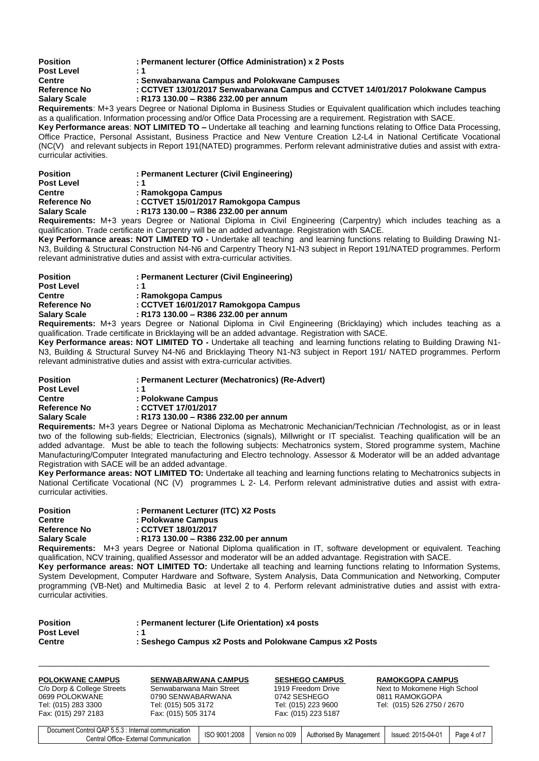| <b>Position</b>     | : Permanent lecturer (Office Administration) x 2 Posts                                                                           |
|---------------------|----------------------------------------------------------------------------------------------------------------------------------|
| <b>Post Level</b>   | :1                                                                                                                               |
| <b>Centre</b>       | : Senwabarwana Campus and Polokwane Campuses                                                                                     |
| <b>Reference No</b> | : CCTVET 13/01/2017 Senwabarwana Campus and CCTVET 14/01/2017 Polokwane Campus                                                   |
| <b>Salary Scale</b> | : R173 130.00 – R386 232.00 per annum                                                                                            |
|                     | <b>Requirements:</b> M+3 years Degree or National Diploma in Business Studies or Equivalent qualification which includes teachin |

**Requirements**: M+3 years Degree or National Diploma in Business Studies or Equivalent qualification which includes teaching as a qualification. Information processing and/or Office Data Processing are a requirement. Registration with SACE. Key Performance areas: NOT LIMITED TO - Undertake all teaching and learning functions relating to Office Data Processing,

Office Practice, Personal Assistant, Business Practice and New Venture Creation L2-L4 in National Certificate Vocational (NC(V) and relevant subjects in Report 191(NATED) programmes. Perform relevant administrative duties and assist with extracurricular activities.

| <b>Position</b>     | : Permanent Lecturer (Civil Engineering) |
|---------------------|------------------------------------------|
| <b>Post Level</b>   | : 1                                      |
| <b>Centre</b>       | : Ramokgopa Campus                       |
| Reference No        | : CCTVET 15/01/2017 Ramokgopa Campus     |
| <b>Salary Scale</b> | : R173 130.00 - R386 232.00 per annum    |
|                     |                                          |

**Requirements:** M+3 years Degree or National Diploma in Civil Engineering (Carpentry) which includes teaching as a qualification. Trade certificate in Carpentry will be an added advantage. Registration with SACE.

**Key Performance areas: NOT LIMITED TO -** Undertake all teaching and learning functions relating to Building Drawing N1- N3, Building & Structural Construction N4-N6 and Carpentry Theory N1-N3 subject in Report 191/NATED programmes. Perform relevant administrative duties and assist with extra-curricular activities.

| <b>Position</b>     | : Permanent Lecturer (Civil Engineering)                        |
|---------------------|-----------------------------------------------------------------|
| Post Level          | : 1                                                             |
| Centre              | : Ramokgopa Campus                                              |
| <b>Reference No</b> | : CCTVET 16/01/2017 Ramokgopa Campus                            |
| Salary Scale        | : R173 130.00 - R386 232.00 per annum                           |
|                     | Besuisamente: Mi? voore Dessee es Netional Dipleme in Civil Eng |

**Requirements:** M+3 years Degree or National Diploma in Civil Engineering (Bricklaying) which includes teaching as a qualification. Trade certificate in Bricklaying will be an added advantage. Registration with SACE.

**Key Performance areas: NOT LIMITED TO -** Undertake all teaching and learning functions relating to Building Drawing N1- N3, Building & Structural Survey N4-N6 and Bricklaying Theory N1-N3 subject in Report 191/ NATED programmes. Perform relevant administrative duties and assist with extra-curricular activities.

| <b>Position</b>     | : Permanent Lecturer (Mechatronics) (Re-Advert) |
|---------------------|-------------------------------------------------|
| <b>Post Level</b>   | : 1                                             |
| <b>Centre</b>       | : Polokwane Campus                              |
| Reference No        | : CCTVET 17/01/2017                             |
| <b>Salary Scale</b> | : R173 130.00 - R386 232.00 per annum           |
|                     |                                                 |

**Requirements:** M+3 years Degree or National Diploma as Mechatronic Mechanician/Technician /Technologist, as or in least two of the following sub-fields; Electrician, Electronics (signals), Millwright or IT specialist. Teaching qualification will be an added advantage. Must be able to teach the following subjects: Mechatronics system, Stored programme system, Machine Manufacturing/Computer Integrated manufacturing and Electro technology. Assessor & Moderator will be an added advantage Registration with SACE will be an added advantage.

**Key Performance areas: NOT LIMITED TO:** Undertake all teaching and learning functions relating to Mechatronics subjects in National Certificate Vocational (NC (V) programmes L 2- L4. Perform relevant administrative duties and assist with extracurricular activities.

| : Permanent Lecturer (ITC) X2 Posts   |
|---------------------------------------|
| : Polokwane Campus                    |
| : CCTVET 18/01/2017                   |
| : R173 130.00 - R386 232.00 per annum |
|                                       |

**Requirements:** M+3 years Degree or National Diploma qualification in IT, software development or equivalent. Teaching qualification, NCV training, qualified Assessor and moderator will be an added advantage. Registration with SACE.

**Key performance areas: NOT LIMITED TO:** Undertake all teaching and learning functions relating to Information Systems, System Development, Computer Hardware and Software, System Analysis, Data Communication and Networking, Computer programming (VB-Net) and Multimedia Basic at level 2 to 4. Perform relevant administrative duties and assist with extracurricular activities.

| <b>Position</b>   | : Permanent lecturer (Life Orientation) x4 posts        |
|-------------------|---------------------------------------------------------|
| <b>Post Level</b> | - 1                                                     |
| Centre            | : Seshego Campus x2 Posts and Polokwane Campus x2 Posts |

| <b>POLOKWANE CAMPUS</b><br>C/o Dorp & College Streets<br>0699 POLOKWANE<br>Tel: (015) 283 3300<br>Fax: (015) 297 2183 | <b>SENWABARWANA CAMPUS</b><br>Senwabarwana Main Street<br>0790 SENWABARWANA<br>Tel: (015) 505 3172<br>Fax: (015) 505 3174 |               |                | <b>SESHEGO CAMPUS</b><br>1919 Freedom Drive<br>0742 SESHEGO<br>Tel: (015) 223 9600<br>Fax: (015) 223 5187 | <b>RAMOKGOPA CAMPUS</b><br>Next to Mokomene High School<br>0811 RAMOKGOPA<br>Tel: (015) 526 2750 / 2670 |             |
|-----------------------------------------------------------------------------------------------------------------------|---------------------------------------------------------------------------------------------------------------------------|---------------|----------------|-----------------------------------------------------------------------------------------------------------|---------------------------------------------------------------------------------------------------------|-------------|
| Document Control QAP 5.5.3 : Internal communication<br>Central Office- External Communication                         |                                                                                                                           | ISO 9001:2008 | Version no 009 | Authorised By Management                                                                                  | Issued: 2015-04-01                                                                                      | Page 4 of 7 |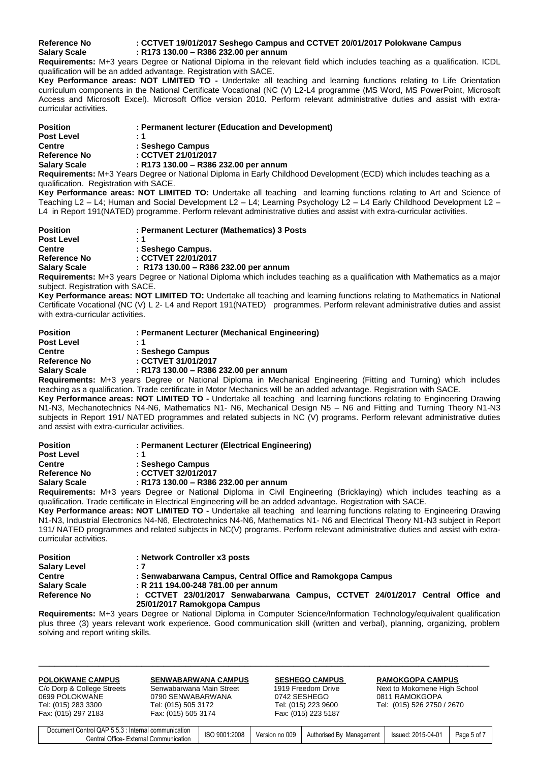# **Reference No : CCTVET 19/01/2017 Seshego Campus and CCTVET 20/01/2017 Polokwane Campus Salary Scale : R173 130.00 – R386 232.00 per annum**

**Requirements:** M+3 years Degree or National Diploma in the relevant field which includes teaching as a qualification. ICDL qualification will be an added advantage. Registration with SACE.

**Key Performance areas: NOT LIMITED TO -** Undertake all teaching and learning functions relating to Life Orientation curriculum components in the National Certificate Vocational (NC (V) L2-L4 programme (MS Word, MS PowerPoint, Microsoft Access and Microsoft Excel). Microsoft Office version 2010. Perform relevant administrative duties and assist with extracurricular activities.

| <b>Position</b>     | : Permanent lecturer (Education and Development)                                  |
|---------------------|-----------------------------------------------------------------------------------|
| <b>Post Level</b>   | : 1                                                                               |
| <b>Centre</b>       | : Seshego Campus                                                                  |
| <b>Reference No</b> | : CCTVET 21/01/2017                                                               |
| <b>Salary Scale</b> | : R173 130.00 - R386 232.00 per annum                                             |
|                     | Beautinements: M.O.Vesin, Beauer on Nettenel Binleme in Feil: Ohildhead Beurlann. |

**Requirements:** M+3 Years Degree or National Diploma in Early Childhood Development (ECD) which includes teaching as a qualification. Registration with SACE.

**Key Performance areas: NOT LIMITED TO:** Undertake all teaching and learning functions relating to Art and Science of Teaching L2 – L4; Human and Social Development L2 – L4; Learning Psychology L2 – L4 Early Childhood Development L2 – L4 in Report 191(NATED) programme. Perform relevant administrative duties and assist with extra-curricular activities.

| <b>Position</b>     | : Permanent Lecturer (Mathematics) 3 Posts                                                                      |
|---------------------|-----------------------------------------------------------------------------------------------------------------|
| <b>Post Level</b>   | : 1                                                                                                             |
| <b>Centre</b>       | : Seshego Campus.                                                                                               |
| Reference No        | : CCTVET 22/01/2017                                                                                             |
| <b>Salary Scale</b> | $:$ R173 130.00 – R386 232.00 per annum                                                                         |
|                     | Requirements: M1.2 years Degree or National Diploma which includes togething as a qualification with Mathematic |

**Requirements:** M+3 years Degree or National Diploma which includes teaching as a qualification with Mathematics as a major subject. Registration with SACE.

**Key Performance areas: NOT LIMITED TO:** Undertake all teaching and learning functions relating to Mathematics in National Certificate Vocational (NC (V) L 2- L4 and Report 191(NATED) programmes. Perform relevant administrative duties and assist with extra-curricular activities.

| <b>Position</b>     | : Permanent Lecturer (Mechanical Engineering)                                                  |
|---------------------|------------------------------------------------------------------------------------------------|
| <b>Post Level</b>   | - 1                                                                                            |
| <b>Centre</b>       | : Seshego Campus                                                                               |
| Reference No        | : CCTVET 31/01/2017                                                                            |
| <b>Salary Scale</b> | : R173 130.00 - R386 232.00 per annum                                                          |
|                     | <b>Poquiromonte:</b> M13 years Degree or National Diploma in Mechanical Engineering (Fitting a |

**Requirements:** M+3 years Degree or National Diploma in Mechanical Engineering (Fitting and Turning) which includes teaching as a qualification. Trade certificate in Motor Mechanics will be an added advantage. Registration with SACE.

**Key Performance areas: NOT LIMITED TO -** Undertake all teaching and learning functions relating to Engineering Drawing N1-N3, Mechanotechnics N4-N6, Mathematics N1- N6, Mechanical Design N5 – N6 and Fitting and Turning Theory N1-N3 subjects in Report 191/ NATED programmes and related subjects in NC (V) programs. Perform relevant administrative duties and assist with extra-curricular activities.

| <b>Position</b>     | : Permanent Lecturer (Electrical Engineering)                                                |
|---------------------|----------------------------------------------------------------------------------------------|
| <b>Post Level</b>   | : 1                                                                                          |
| <b>Centre</b>       | : Seshego Campus                                                                             |
| Reference No        | : CCTVET 32/01/2017                                                                          |
| <b>Salary Scale</b> | : R173 130.00 - R386 232.00 per annum                                                        |
|                     | <b>Requirements:</b> M+3 years Degree or National Diploma in Civil Engineering (Bricklaving) |

**Requirements:** M+3 years Degree or National Diploma in Civil Engineering (Bricklaying) which includes teaching as a qualification. Trade certificate in Electrical Engineering will be an added advantage. Registration with SACE.

**Key Performance areas: NOT LIMITED TO -** Undertake all teaching and learning functions relating to Engineering Drawing N1-N3, Industrial Electronics N4-N6, Electrotechnics N4-N6, Mathematics N1- N6 and Electrical Theory N1-N3 subject in Report 191/ NATED programmes and related subjects in NC(V) programs. Perform relevant administrative duties and assist with extracurricular activities.

| <b>Position</b>     | : Network Controller x3 posts                                                                                |
|---------------------|--------------------------------------------------------------------------------------------------------------|
| <b>Salary Level</b> | - 7                                                                                                          |
| <b>Centre</b>       | : Senwabarwana Campus, Central Office and Ramokgopa Campus                                                   |
| <b>Salary Scale</b> | R 211 194.00-248 781.00 per annum                                                                            |
| <b>Reference No</b> | : CCTVET 23/01/2017 Senwabarwana Campus, CCTVET 24/01/2017 Central Office and<br>25/01/2017 Ramokgopa Campus |

**Requirements:** M+3 years Degree or National Diploma in Computer Science/Information Technology/equivalent qualification plus three (3) years relevant work experience. Good communication skill (written and verbal), planning, organizing, problem solving and report writing skills.

| <b>POLOKWANE CAMPUS</b>    | <b>SENWABARWANA CAMPUS</b> | <b>SESHEGO CAMPUS</b> | <b>RAMOKGOPA CAMPUS</b>      |
|----------------------------|----------------------------|-----------------------|------------------------------|
| C/o Dorp & College Streets | Senwabarwana Main Street   | 1919 Freedom Drive    | Next to Mokomene High School |
| 0699 POLOKWANE             | 0790 SENWABARWANA          | 0742 SESHEGO          | 0811 RAMOKGOPA               |
| Tel: (015) 283 3300        | Tel: (015) 505 3172        | Tel: (015) 223 9600   | Tel: (015) 526 2750 / 2670   |
| Fax: (015) 297 2183        | Fax: (015) 505 3174        | Fax: (015) 223 5187   |                              |

| t Control QAP 5.5.3<br>: Internal communication<br>Document ( | ISO 9001:2008 | Version no 009 | Authorised By Management | Issued: 2015-04-01 |           |
|---------------------------------------------------------------|---------------|----------------|--------------------------|--------------------|-----------|
| Office-<br>′ entral⊖<br>External Communication                |               |                |                          |                    | Page 5 of |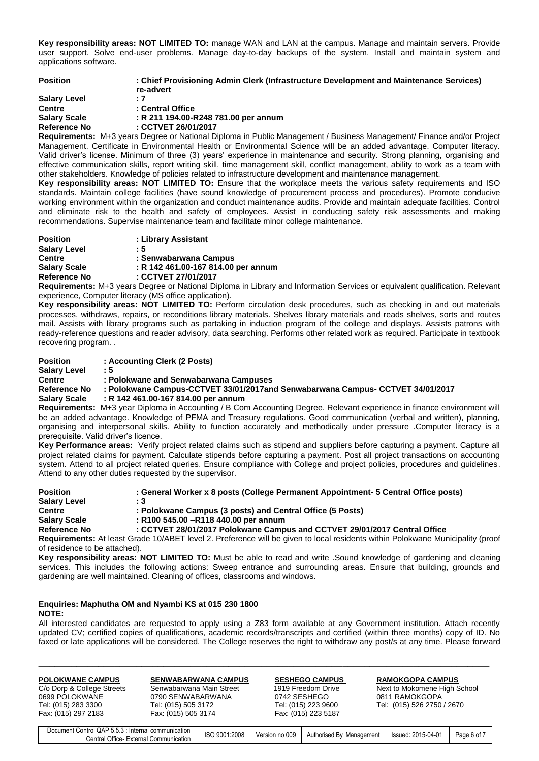**Key responsibility areas: NOT LIMITED TO:** manage WAN and LAN at the campus. Manage and maintain servers. Provide user support. Solve end-user problems. Manage day-to-day backups of the system. Install and maintain system and applications software.

| <b>Position</b>     | : Chief Provisioning Admin Clerk (Infrastructure Development and Maintenance Services)<br>re-advert |
|---------------------|-----------------------------------------------------------------------------------------------------|
| <b>Salary Level</b> | - 7                                                                                                 |
| <b>Centre</b>       | : Central Office                                                                                    |
| <b>Salary Scale</b> | : R 211 194.00-R248 781.00 per annum                                                                |
| <b>Reference No</b> | : CCTVET 26/01/2017                                                                                 |

**Requirements:** M+3 years Degree or National Diploma in Public Management / Business Management/ Finance and/or Project Management. Certificate in Environmental Health or Environmental Science will be an added advantage. Computer literacy. Valid driver's license. Minimum of three (3) years' experience in maintenance and security. Strong planning, organising and effective communication skills, report writing skill, time management skill, conflict management, ability to work as a team with other stakeholders. Knowledge of policies related to infrastructure development and maintenance management.

**Key responsibility areas: NOT LIMITED TO:** Ensure that the workplace meets the various safety requirements and ISO standards. Maintain college facilities (have sound knowledge of procurement process and procedures). Promote conducive working environment within the organization and conduct maintenance audits. Provide and maintain adequate facilities. Control and eliminate risk to the health and safety of employees. Assist in conducting safety risk assessments and making recommendations. Supervise maintenance team and facilitate minor college maintenance.

| <b>Position</b>     | : Library Assistant                 |
|---------------------|-------------------------------------|
| <b>Salary Level</b> | : 5                                 |
| <b>Centre</b>       | : Senwabarwana Campus               |
| <b>Salary Scale</b> | : R 142 461.00-167 814.00 per annum |
| Reference No        | : CCTVET 27/01/2017                 |

**Requirements:** M+3 years Degree or National Diploma in Library and Information Services or equivalent qualification. Relevant experience, Computer literacy (MS office application).

**Key responsibility areas: NOT LIMITED TO:** Perform circulation desk procedures, such as checking in and out materials processes, withdraws, repairs, or reconditions library materials. Shelves library materials and reads shelves, sorts and routes mail. Assists with library programs such as partaking in induction program of the college and displays. Assists patrons with ready-reference questions and reader advisory, data searching. Performs other related work as required. Participate in textbook recovering program. .

| Position     | : Accounting Clerk (2 Posts)                                                                                           |
|--------------|------------------------------------------------------------------------------------------------------------------------|
| Salary Level | : 5                                                                                                                    |
| Centre       | : Polokwane and Senwabarwana Campuses                                                                                  |
| Reference No | : Polokwane Campus-CCTVET 33/01/2017and Senwabarwana Campus- CCTVET 34/01/2017                                         |
| Salary Scale | R 142 461.00-167 814.00 per annum                                                                                      |
|              | <b>Pequirements:</b> M+3 year Diploma in Accounting / R Com Accounting Degree. Pelevant experience in finance environm |

**Requirements:** M+3 year Diploma in Accounting / B Com Accounting Degree. Relevant experience in finance environment will be an added advantage. Knowledge of PFMA and Treasury regulations. Good communication (verbal and written), planning, organising and interpersonal skills. Ability to function accurately and methodically under pressure .Computer literacy is a prerequisite. Valid driver's licence.

**Key Performance areas:** Verify project related claims such as stipend and suppliers before capturing a payment. Capture all project related claims for payment. Calculate stipends before capturing a payment. Post all project transactions on accounting system. Attend to all project related queries. Ensure compliance with College and project policies, procedures and guidelines. Attend to any other duties requested by the supervisor.

| <b>Position</b>     | : General Worker x 8 posts (College Permanent Appointment- 5 Central Office posts)                                                |
|---------------------|-----------------------------------------------------------------------------------------------------------------------------------|
| <b>Salary Level</b> | : 3                                                                                                                               |
| <b>Centre</b>       | : Polokwane Campus (3 posts) and Central Office (5 Posts)                                                                         |
| <b>Salary Scale</b> | : R100 545.00 - R118 440.00 per annum                                                                                             |
| Reference No        | : CCTVET 28/01/2017 Polokwane Campus and CCTVET 29/01/2017 Central Office                                                         |
|                     | <b>Requirements:</b> At least Grade 10/ARET level 2. Preference will be given to local residents within Polokwane Municipality (r |

**Requirements:** At least Grade 10/ABET level 2. Preference will be given to local residents within Polokwane Municipality (proof of residence to be attached).

**Key responsibility areas: NOT LIMITED TO:** Must be able to read and write .Sound knowledge of gardening and cleaning services. This includes the following actions: Sweep entrance and surrounding areas. Ensure that building, grounds and gardening are well maintained. Cleaning of offices, classrooms and windows.

### **Enquiries: Maphutha OM and Nyambi KS at 015 230 1800 NOTE:**

All interested candidates are requested to apply using a Z83 form available at any Government institution. Attach recently updated CV; certified copies of qualifications, academic records/transcripts and certified (within three months) copy of ID. No faxed or late applications will be considered. The College reserves the right to withdraw any post/s at any time. Please forward

|                     | Tel: (015) 505 3172 | Tel: (015) 223 9600 | Tel: (015) 526 2750 / 2670 |
|---------------------|---------------------|---------------------|----------------------------|
| Fax: (015) 297 2183 | Fax: (015) 505 3174 | Fax: (015) 223 5187 |                            |

| t Control QAP 5.5.3<br>Document<br>: Internal communication | 1:2008<br>$100^{\circ}$<br>900′ ر | Version no 009 | Authorised By | $: 2015 - 04 - 01$ | Page 6 of |
|-------------------------------------------------------------|-----------------------------------|----------------|---------------|--------------------|-----------|
| Central Office-<br>External Communication                   | IUU                               |                | Management    | Issued:            |           |